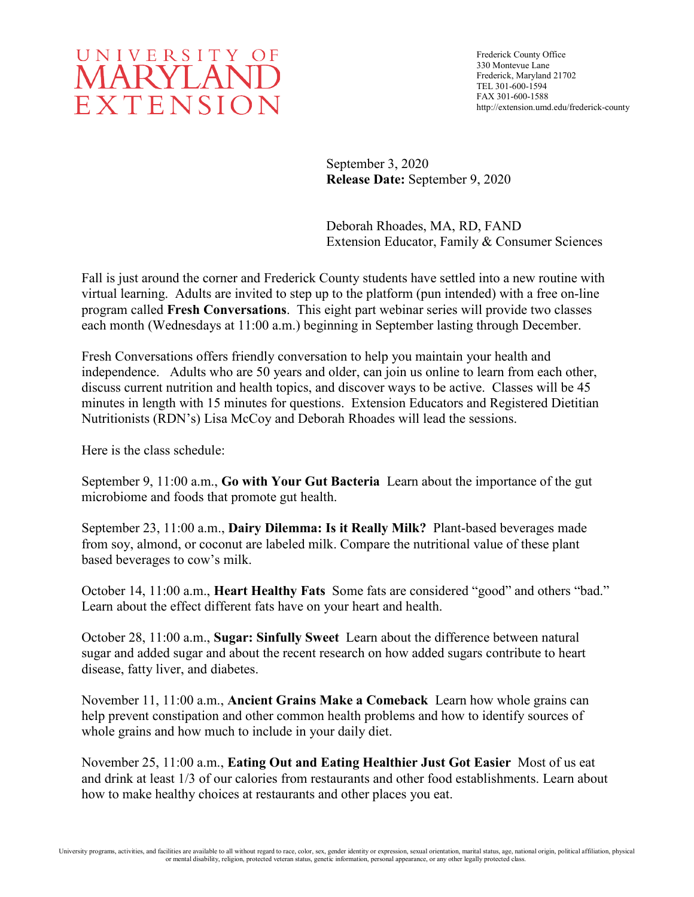

Frederick County Office 330 Montevue Lane Frederick, Maryland 21702 TEL 301-600-1594 FAX 301-600-1588 http://extension.umd.edu/frederick-county

September 3, 2020 **Release Date:** September 9, 2020

Deborah Rhoades, MA, RD, FAND Extension Educator, Family & Consumer Sciences

Fall is just around the corner and Frederick County students have settled into a new routine with virtual learning. Adults are invited to step up to the platform (pun intended) with a free on-line program called **Fresh Conversations**. This eight part webinar series will provide two classes each month (Wednesdays at 11:00 a.m.) beginning in September lasting through December.

Fresh Conversations offers friendly conversation to help you maintain your health and independence. Adults who are 50 years and older, can join us online to learn from each other, discuss current nutrition and health topics, and discover ways to be active. Classes will be 45 minutes in length with 15 minutes for questions. Extension Educators and Registered Dietitian Nutritionists (RDN's) Lisa McCoy and Deborah Rhoades will lead the sessions.

Here is the class schedule:

September 9, 11:00 a.m., **Go with Your Gut Bacteria** Learn about the importance of the gut microbiome and foods that promote gut health.

September 23, 11:00 a.m., **Dairy Dilemma: Is it Really Milk?** Plant-based beverages made from soy, almond, or coconut are labeled milk. Compare the nutritional value of these plant based beverages to cow's milk.

October 14, 11:00 a.m., **Heart Healthy Fats** Some fats are considered "good" and others "bad." Learn about the effect different fats have on your heart and health.

October 28, 11:00 a.m., **Sugar: Sinfully Sweet** Learn about the difference between natural sugar and added sugar and about the recent research on how added sugars contribute to heart disease, fatty liver, and diabetes.

November 11, 11:00 a.m., **Ancient Grains Make a Comeback** Learn how whole grains can help prevent constipation and other common health problems and how to identify sources of whole grains and how much to include in your daily diet.

November 25, 11:00 a.m., **Eating Out and Eating Healthier Just Got Easier** Most of us eat and drink at least 1/3 of our calories from restaurants and other food establishments. Learn about how to make healthy choices at restaurants and other places you eat.